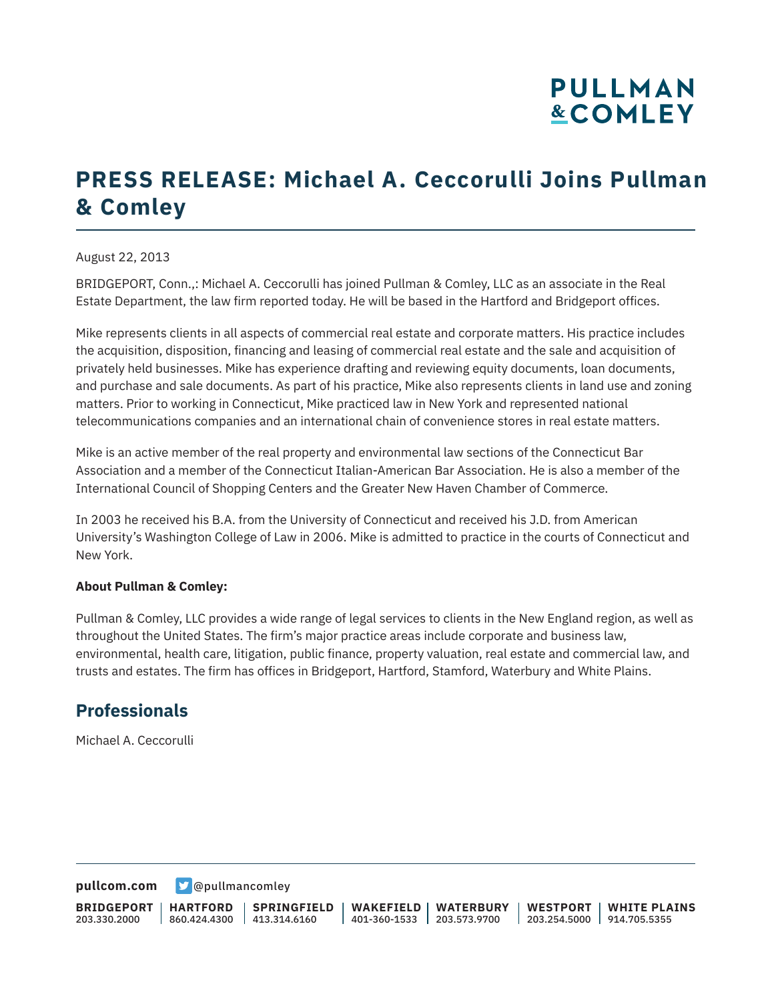# **PULLMAN &COMLEY**

## **PRESS RELEASE: Michael A. Ceccorulli Joins Pullman & Comley**

#### August 22, 2013

BRIDGEPORT, Conn.,: Michael A. Ceccorulli has joined Pullman & Comley, LLC as an associate in the Real Estate Department, the law firm reported today. He will be based in the Hartford and Bridgeport offices.

Mike represents clients in all aspects of commercial real estate and corporate matters. His practice includes the acquisition, disposition, financing and leasing of commercial real estate and the sale and acquisition of privately held businesses. Mike has experience drafting and reviewing equity documents, loan documents, and purchase and sale documents. As part of his practice, Mike also represents clients in land use and zoning matters. Prior to working in Connecticut, Mike practiced law in New York and represented national telecommunications companies and an international chain of convenience stores in real estate matters.

Mike is an active member of the real property and environmental law sections of the Connecticut Bar Association and a member of the Connecticut Italian-American Bar Association. He is also a member of the International Council of Shopping Centers and the Greater New Haven Chamber of Commerce.

In 2003 he received his B.A. from the University of Connecticut and received his J.D. from American University's Washington College of Law in 2006. Mike is admitted to practice in the courts of Connecticut and New York.

#### **About Pullman & Comley:**

Pullman & Comley, LLC provides a wide range of legal services to clients in the New England region, as well as throughout the United States. The firm's major practice areas include corporate and business law, environmental, health care, litigation, public finance, property valuation, real estate and commercial law, and trusts and estates. The firm has offices in Bridgeport, Hartford, Stamford, Waterbury and White Plains.

### **Professionals**

Michael A. Ceccorulli

**[pullcom.com](https://www.pullcom.com) g** [@pullmancomley](https://twitter.com/PullmanComley)

**BRIDGEPORT** 203.330.2000

**HARTFORD**

860.424.4300 413.314.6160 **SPRINGFIELD** **WAKEFIELD WATERBURY** 401-360-1533 203.573.9700

**WESTPORT WHITE PLAINS** 203.254.5000 914.705.5355